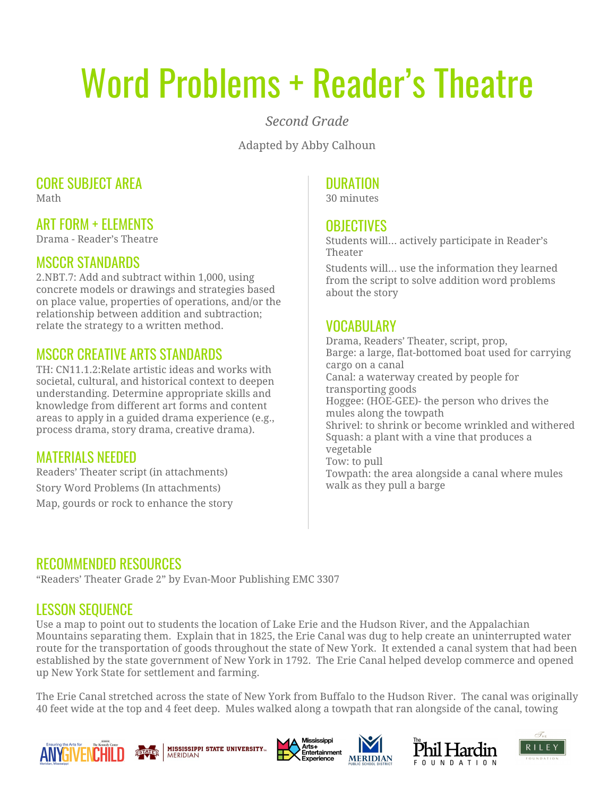# Word Problems + Reader's Theatre

*Second Grade*

Adapted by Abby Calhoun

# CORE SUBJECT AREA

Math

## ART FORM + ELEMENTS

Drama - Reader's Theatre

#### MSCCR STANDARDS

2.NBT.7: Add and subtract within 1,000, using concrete models or drawings and strategies based on place value, properties of operations, and/or the relationship between addition and subtraction; relate the strategy to a written method.

# MSCCR CREATIVE ARTS STANDARDS

TH: CN11.1.2:Relate artistic ideas and works with societal, cultural, and historical context to deepen understanding. Determine appropriate skills and knowledge from different art forms and content areas to apply in a guided drama experience (e.g., process drama, story drama, creative drama).

## MATERIALS NEEDED

Readers' Theater script (in attachments) Story Word Problems (In attachments) Map, gourds or rock to enhance the story

# DURATION

30 minutes

#### **OBJECTIVES**

Students will… actively participate in Reader's Theater

Students will… use the information they learned from the script to solve addition word problems about the story

# VOCABULARY

Drama, Readers' Theater, script, prop, Barge: a large, flat-bottomed boat used for carrying cargo on a canal Canal: a waterway created by people for transporting goods Hoggee: (HOE-GEE)- the person who drives the mules along the towpath Shrivel: to shrink or become wrinkled and withered Squash: a plant with a vine that produces a vegetable Tow: to pull Towpath: the area alongside a canal where mules walk as they pull a barge

#### RECOMMENDED RESOURCES

"Readers' Theater Grade 2" by Evan-Moor Publishing EMC 3307

# LESSON SEQUENCE

Use a map to point out to students the location of Lake Erie and the Hudson River, and the Appalachian Mountains separating them. Explain that in 1825, the Erie Canal was dug to help create an uninterrupted water route for the transportation of goods throughout the state of New York. It extended a canal system that had been established by the state government of New York in 1792. The Erie Canal helped develop commerce and opened up New York State for settlement and farming.

The Erie Canal stretched across the state of New York from Buffalo to the Hudson River. The canal was originally 40 feet wide at the top and 4 feet deep. Mules walked along a towpath that ran alongside of the canal, towing